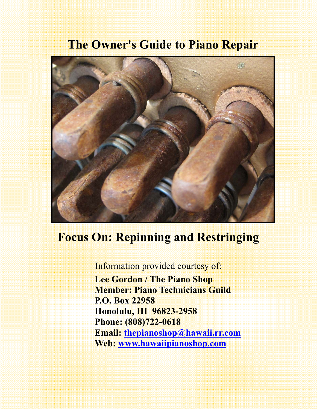# **The Owner's Guide to Piano Repair**



## **Focus On: Repinning and Restringing**

Information provided courtesy of:  **Lee Gordon / The Piano Shop Member: Piano Technicians Guild P.O. Box 22958 Honolulu, HI 96823-2958 Phone: (808)722-0618 Email: thepianoshop@hawaii.rr.com Web: www.hawaiipianoshop.com**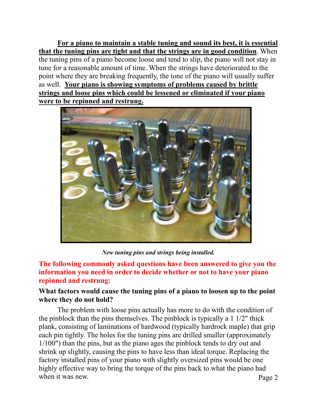**For a piano to maintain a stable tuning and sound its best, it is essential that the tuning pins are tight and that the strings are in good condition**. When the tuning pins of a piano become loose and tend to slip, the piano will not stay in tune for a reasonable amount of time. When the strings have deteriorated to the point where they are breaking frequently, the tone of the piano will usually suffer as well. **Your piano is showing symptoms of problems caused by brittle strings and loose pins which could be lessened or eliminated if your piano were to be repinned and restrung.**



*New tuning pins and strings being installed.* 

**The following commonly asked questions have been answered to give you the information you need in order to decide whether or not to have your piano repinned and restrung:** 

#### **What factors would cause the tuning pins of a piano to loosen up to the point where they do not hold?**

Page 2 The problem with loose pins actually has more to do with the condition of the pinblock than the pins themselves. The pinblock is typically a 1 1/2" thick plank, consisting of laminations of hardwood (typically hardrock maple) that grip each pin tightly. The holes for the tuning pins are drilled smaller (approximately 1/100") than the pins, but as the piano ages the pinblock tends to dry out and shrink up slightly, causing the pins to have less than ideal torque. Replacing the factory installed pins of your piano with slightly oversized pins would be one highly effective way to bring the torque of the pins back to what the piano had when it was new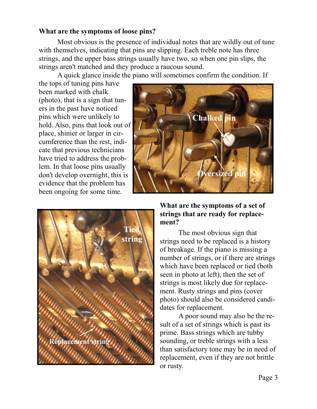#### **What are the symptoms of loose pins?**

 Most obvious is the presence of individual notes that are wildly out of tune with themselves, indicating that pins are slipping. Each treble note has three strings, and the upper bass strings usually have two, so when one pin slips, the strings aren't matched and they produce a raucous sound.

A quick glance inside the piano will sometimes confirm the condition. If

the tops of tuning pins have been marked with chalk (photo), that is a sign that tuners in the past have noticed pins which were unlikely to hold. Also, pins that look out of place, shinier or larger in circumference than the rest, indicate that previous technicians have tried to address the problem. In that loose pins usually don't develop overnight, this is evidence that the problem has been ongoing for some time.





#### **What are the symptoms of a set of strings that are ready for replacement?**

 The most obvious sign that strings need to be replaced is a history of breakage. If the piano is missing a number of strings, or if there are strings which have been replaced or tied (both seen in photo at left), then the set of strings is most likely due for replacement. Rusty strings and pins (cover photo) should also be considered candidates for replacement.

 A poor sound may also be the result of a set of strings which is past its prime. Bass strings which are tubby sounding, or treble strings with a less than satisfactory tone may be in need of replacement, even if they are not brittle or rusty.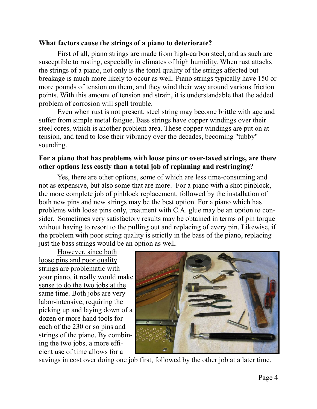#### **What factors cause the strings of a piano to deteriorate?**

 First of all, piano strings are made from high-carbon steel, and as such are susceptible to rusting, especially in climates of high humidity. When rust attacks the strings of a piano, not only is the tonal quality of the strings affected but breakage is much more likely to occur as well. Piano strings typically have 150 or more pounds of tension on them, and they wind their way around various friction points. With this amount of tension and strain, it is understandable that the added problem of corrosion will spell trouble.

 Even when rust is not present, steel string may become brittle with age and suffer from simple metal fatigue. Bass strings have copper windings over their steel cores, which is another problem area. These copper windings are put on at tension, and tend to lose their vibrancy over the decades, becoming "tubby" sounding.

#### **For a piano that has problems with loose pins or over-taxed strings, are there other options less costly than a total job of repinning and restringing?**

 Yes, there are other options, some of which are less time-consuming and not as expensive, but also some that are more. For a piano with a shot pinblock, the more complete job of pinblock replacement, followed by the installation of both new pins and new strings may be the best option. For a piano which has problems with loose pins only, treatment with C.A. glue may be an option to consider. Sometimes very satisfactory results may be obtained in terms of pin torque without having to resort to the pulling out and replacing of every pin. Likewise, if the problem with poor string quality is strictly in the bass of the piano, replacing just the bass strings would be an option as well.

 However, since both loose pins and poor quality strings are problematic with your piano, it really would make sense to do the two jobs at the same time. Both jobs are very labor-intensive, requiring the picking up and laying down of a dozen or more hand tools for each of the 230 or so pins and strings of the piano. By combining the two jobs, a more efficient use of time allows for a



savings in cost over doing one job first, followed by the other job at a later time.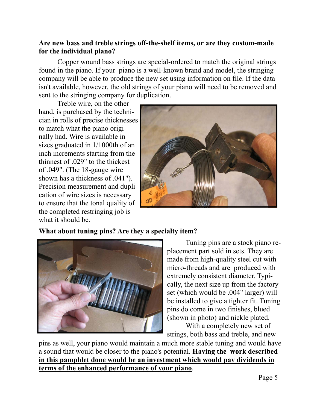#### **Are new bass and treble strings off-the-shelf items, or are they custom-made for the individual piano?**

Copper wound bass strings are special-ordered to match the original strings found in the piano. If your piano is a well-known brand and model, the stringing company will be able to produce the new set using information on file. If the data isn't available, however, the old strings of your piano will need to be removed and sent to the stringing company for duplication.

 Treble wire, on the other hand, is purchased by the technician in rolls of precise thicknesses to match what the piano originally had. Wire is available in sizes graduated in 1/1000th of an inch increments starting from the thinnest of .029" to the thickest of .049". (The 18-gauge wire shown has a thickness of .041"). Precision measurement and duplication of wire sizes is necessary to ensure that the tonal quality of the completed restringing job is what it should be.



#### **What about tuning pins? Are they a specialty item?**



 Tuning pins are a stock piano replacement part sold in sets. They are made from high-quality steel cut with micro-threads and are produced with extremely consistent diameter. Typically, the next size up from the factory set (which would be .004" larger) will be installed to give a tighter fit. Tuning pins do come in two finishes, blued (shown in photo) and nickle plated.

 With a completely new set of strings, both bass and treble, and new

pins as well, your piano would maintain a much more stable tuning and would have a sound that would be closer to the piano's potential. **Having the work described in this pamphlet done would be an investment which would pay dividends in terms of the enhanced performance of your piano**.